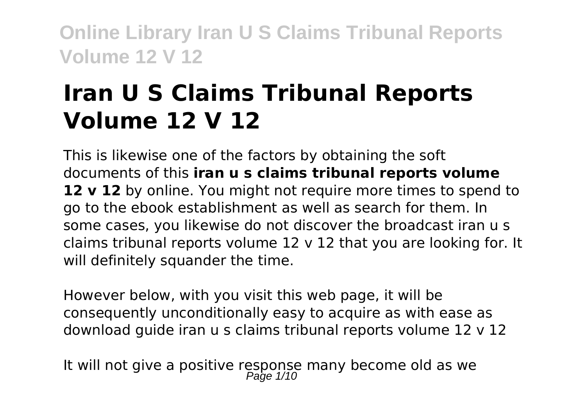# **Iran U S Claims Tribunal Reports Volume 12 V 12**

This is likewise one of the factors by obtaining the soft documents of this **iran u s claims tribunal reports volume 12 v 12** by online. You might not require more times to spend to go to the ebook establishment as well as search for them. In some cases, you likewise do not discover the broadcast iran u s claims tribunal reports volume 12 v 12 that you are looking for. It will definitely squander the time.

However below, with you visit this web page, it will be consequently unconditionally easy to acquire as with ease as download guide iran u s claims tribunal reports volume 12 v 12

It will not give a positive response many become old as we<br> $P_{\text{age 1/10}}$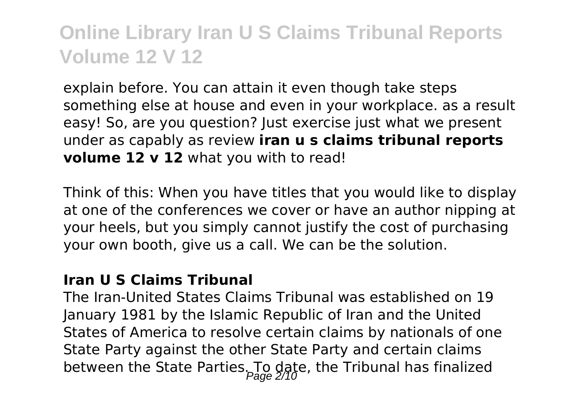explain before. You can attain it even though take steps something else at house and even in your workplace. as a result easy! So, are you question? Just exercise just what we present under as capably as review **iran u s claims tribunal reports volume 12 v 12** what you with to read!

Think of this: When you have titles that you would like to display at one of the conferences we cover or have an author nipping at your heels, but you simply cannot justify the cost of purchasing your own booth, give us a call. We can be the solution.

#### **Iran U S Claims Tribunal**

The Iran-United States Claims Tribunal was established on 19 January 1981 by the Islamic Republic of Iran and the United States of America to resolve certain claims by nationals of one State Party against the other State Party and certain claims between the State Parties. To date, the Tribunal has finalized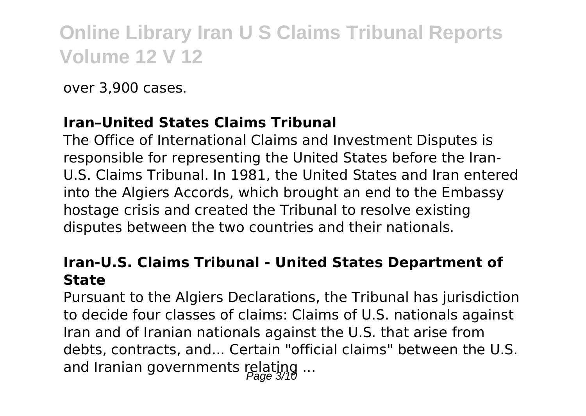over 3,900 cases.

#### **Iran–United States Claims Tribunal**

The Office of International Claims and Investment Disputes is responsible for representing the United States before the Iran-U.S. Claims Tribunal. In 1981, the United States and Iran entered into the Algiers Accords, which brought an end to the Embassy hostage crisis and created the Tribunal to resolve existing disputes between the two countries and their nationals.

#### **Iran-U.S. Claims Tribunal - United States Department of State**

Pursuant to the Algiers Declarations, the Tribunal has jurisdiction to decide four classes of claims: Claims of U.S. nationals against Iran and of Iranian nationals against the U.S. that arise from debts, contracts, and... Certain "official claims" between the U.S. and Iranian governments relating ...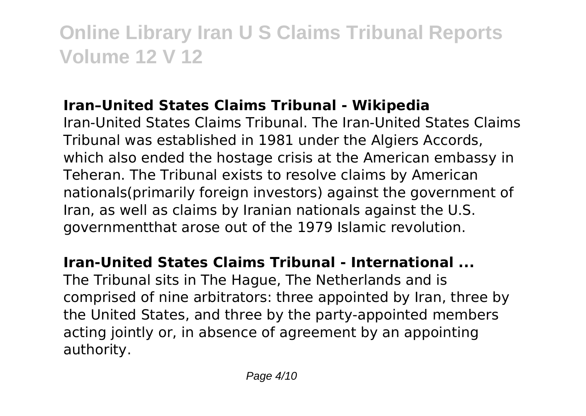#### **Iran–United States Claims Tribunal - Wikipedia**

Iran-United States Claims Tribunal. The Iran-United States Claims Tribunal was established in 1981 under the Algiers Accords, which also ended the hostage crisis at the American embassy in Teheran. The Tribunal exists to resolve claims by American nationals(primarily foreign investors) against the government of Iran, as well as claims by Iranian nationals against the U.S. governmentthat arose out of the 1979 Islamic revolution.

#### **Iran-United States Claims Tribunal - International ...**

The Tribunal sits in The Hague, The Netherlands and is comprised of nine arbitrators: three appointed by Iran, three by the United States, and three by the party-appointed members acting jointly or, in absence of agreement by an appointing authority.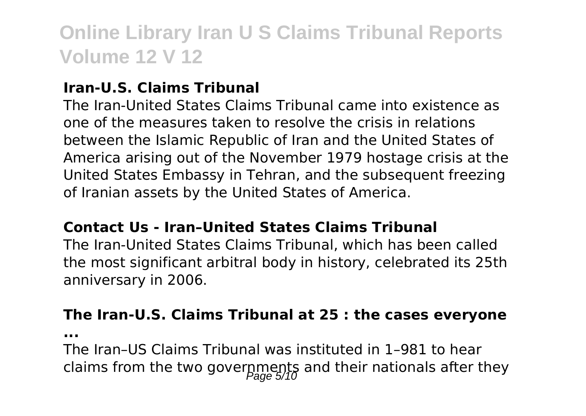#### **Iran-U.S. Claims Tribunal**

The Iran-United States Claims Tribunal came into existence as one of the measures taken to resolve the crisis in relations between the Islamic Republic of Iran and the United States of America arising out of the November 1979 hostage crisis at the United States Embassy in Tehran, and the subsequent freezing of Iranian assets by the United States of America.

#### **Contact Us - Iran–United States Claims Tribunal**

The Iran-United States Claims Tribunal, which has been called the most significant arbitral body in history, celebrated its 25th anniversary in 2006.

#### **The Iran-U.S. Claims Tribunal at 25 : the cases everyone**

**...**

The Iran–US Claims Tribunal was instituted in 1–981 to hear claims from the two governments and their nationals after they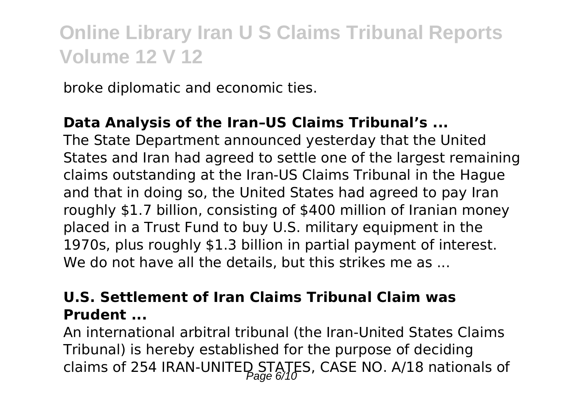broke diplomatic and economic ties.

#### **Data Analysis of the Iran–US Claims Tribunal's ...**

The State Department announced yesterday that the United States and Iran had agreed to settle one of the largest remaining claims outstanding at the Iran-US Claims Tribunal in the Hague and that in doing so, the United States had agreed to pay Iran roughly \$1.7 billion, consisting of \$400 million of Iranian money placed in a Trust Fund to buy U.S. military equipment in the 1970s, plus roughly \$1.3 billion in partial payment of interest. We do not have all the details, but this strikes me as ...

#### **U.S. Settlement of Iran Claims Tribunal Claim was Prudent ...**

An international arbitral tribunal (the Iran-United States Claims Tribunal) is hereby established for the purpose of deciding claims of 254 IRAN-UNITED STATES, CASE NO. A/18 nationals of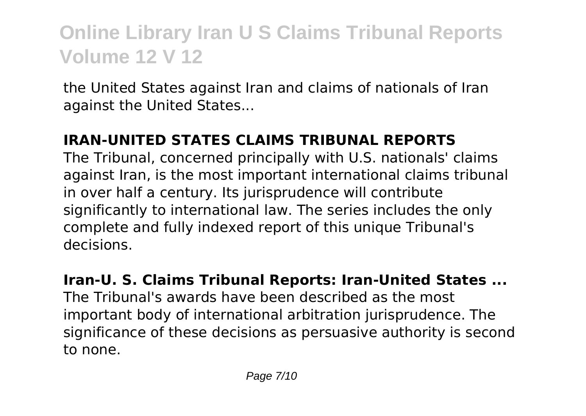the United States against Iran and claims of nationals of Iran against the United States...

#### **IRAN-UNITED STATES CLAIMS TRIBUNAL REPORTS**

The Tribunal, concerned principally with U.S. nationals' claims against Iran, is the most important international claims tribunal in over half a century. Its jurisprudence will contribute significantly to international law. The series includes the only complete and fully indexed report of this unique Tribunal's decisions.

#### **Iran-U. S. Claims Tribunal Reports: Iran-United States ...** The Tribunal's awards have been described as the most important body of international arbitration jurisprudence. The significance of these decisions as persuasive authority is second to none.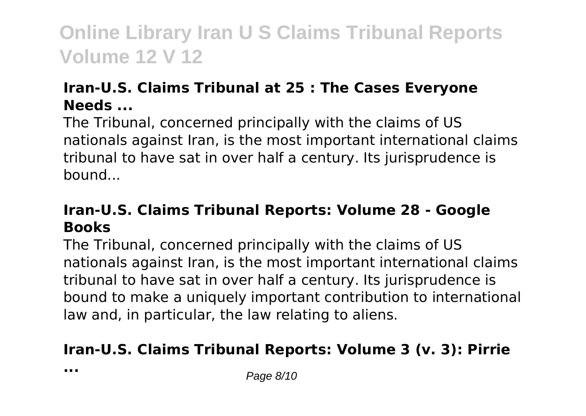#### **Iran-U.S. Claims Tribunal at 25 : The Cases Everyone Needs ...**

The Tribunal, concerned principally with the claims of US nationals against Iran, is the most important international claims tribunal to have sat in over half a century. Its jurisprudence is bound...

#### **Iran-U.S. Claims Tribunal Reports: Volume 28 - Google Books**

The Tribunal, concerned principally with the claims of US nationals against Iran, is the most important international claims tribunal to have sat in over half a century. Its jurisprudence is bound to make a uniquely important contribution to international law and, in particular, the law relating to aliens.

#### **Iran-U.S. Claims Tribunal Reports: Volume 3 (v. 3): Pirrie**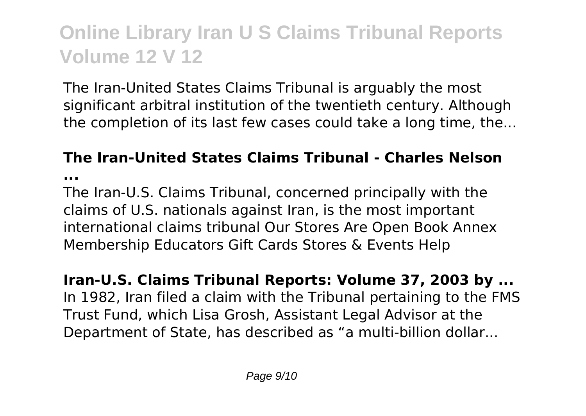The Iran-United States Claims Tribunal is arguably the most significant arbitral institution of the twentieth century. Although the completion of its last few cases could take a long time, the...

#### **The Iran-United States Claims Tribunal - Charles Nelson**

**...**

The Iran-U.S. Claims Tribunal, concerned principally with the claims of U.S. nationals against Iran, is the most important international claims tribunal Our Stores Are Open Book Annex Membership Educators Gift Cards Stores & Events Help

**Iran-U.S. Claims Tribunal Reports: Volume 37, 2003 by ...** In 1982, Iran filed a claim with the Tribunal pertaining to the FMS Trust Fund, which Lisa Grosh, Assistant Legal Advisor at the Department of State, has described as "a multi-billion dollar...